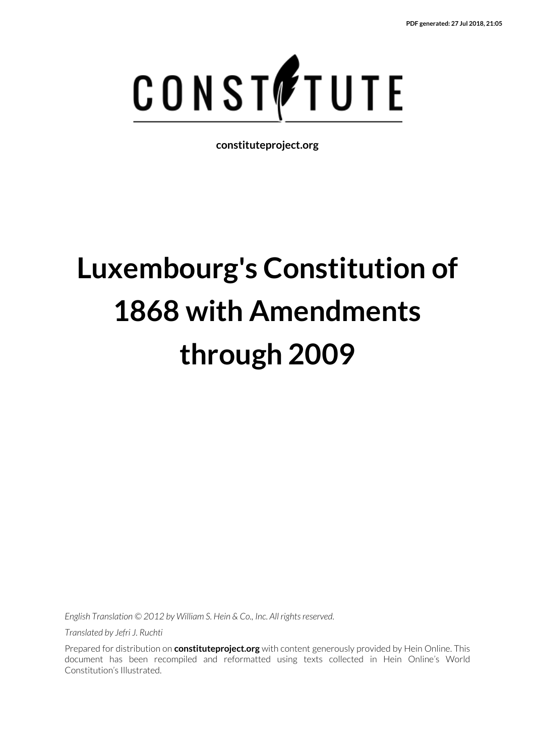

**constituteproject.org**

# **Luxembourg's Constitution of 1868 with Amendments through 2009**

*English Translation © 2012 by William S. Hein & Co., Inc. All rights reserved.*

*Translated by Jefri J. Ruchti*

Prepared for distribution on **constituteproject.org** with content generously provided by Hein Online. This document has been recompiled and reformatted using texts collected in Hein Online's World Constitution's Illustrated.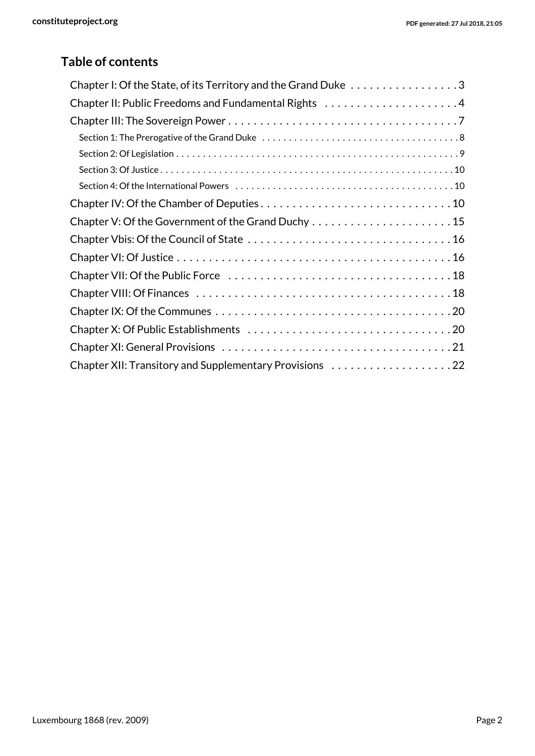### **Table of contents**

| Chapter I: Of the State, of its Territory and the Grand Duke 3 |
|----------------------------------------------------------------|
|                                                                |
|                                                                |
|                                                                |
|                                                                |
|                                                                |
|                                                                |
|                                                                |
|                                                                |
|                                                                |
|                                                                |
|                                                                |
|                                                                |
|                                                                |
|                                                                |
|                                                                |
|                                                                |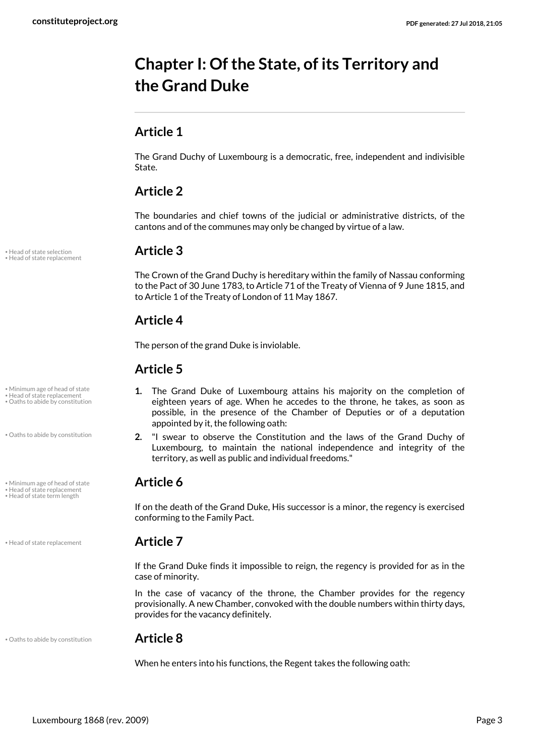# <span id="page-2-0"></span>**Chapter I: Of the State, of its Territory and the Grand Duke**

### **Article 1**

The Grand Duchy of Luxembourg is a democratic, free, independent and indivisible State.

### **Article 2**

The boundaries and chief towns of the judicial or administrative districts, of the cantons and of the communes may only be changed by virtue of a law.

The Crown of the Grand Duchy is hereditary within the family of Nassau conforming to the Pact of 30 June 1783, to Article 71 of the Treaty of Vienna of 9 June 1815, and to Article 1 of the Treaty of London of 11 May 1867.

### **Article 4**

The person of the grand Duke is inviolable.

### **Article 5**

- **1.** The Grand Duke of Luxembourg attains his majority on the completion of eighteen years of age. When he accedes to the throne, he takes, as soon as possible, in the presence of the Chamber of Deputies or of a deputation appointed by it, the following oath:
- **2.** "I swear to observe the Constitution and the laws of the Grand Duchy of Luxembourg, to maintain the national independence and integrity of the territory, as well as public and individual freedoms."

<span id="page-2-4"></span><span id="page-2-3"></span>If on the death of the Grand Duke, His successor is a minor, the regency is exercised conforming to the Family Pact.

<span id="page-2-1"></span>If the Grand Duke finds it impossible to reign, the regency is provided for as in the case of minority.

In the case of vacancy of the throne, the Chamber provides for the regency provisionally. A new Chamber, convoked with the double numbers within thirty days, provides for the vacancy definitely.

• Oaths to abide by constitution **Article 8**

<span id="page-2-5"></span>When he enters into his functions, the Regent takes the following oath:

<span id="page-2-2"></span>• Head of state selection **Article 3** • Head of state replacement

• Minimum age of head of state • Head of state replacement

• Oaths to abide by constitution

• Oaths to abide by constitution

• Minimum age of head of state **Article 6** 

• Head of state replacement<br>• Head of state term length

• Head of state replacement **Article 7**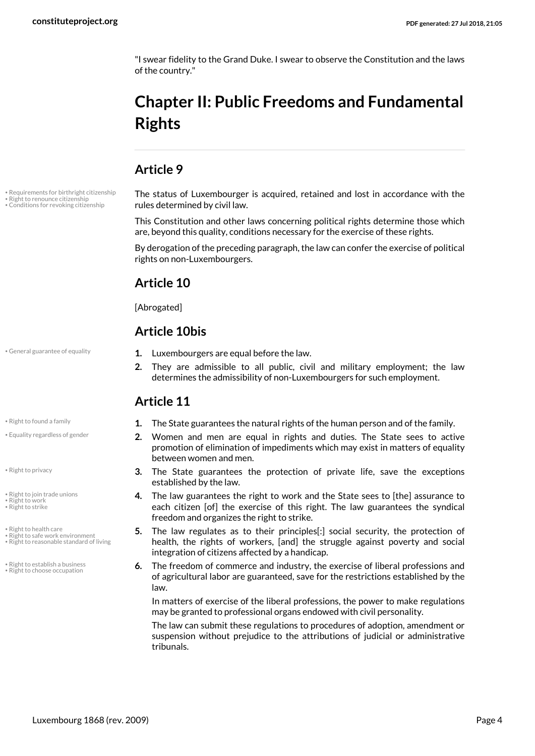"I swear fidelity to the Grand Duke. I swear to observe the Constitution and the laws of the country."

# <span id="page-3-0"></span>**Chapter II: Public Freedoms and Fundamental Rights**

#### **Article 9**

<span id="page-3-12"></span><span id="page-3-4"></span><span id="page-3-1"></span>The status of Luxembourger is acquired, retained and lost in accordance with the rules determined by civil law.

This Constitution and other laws concerning political rights determine those which are, beyond this quality, conditions necessary for the exercise of these rights.

By derogation of the preceding paragraph, the law can confer the exercise of political rights on non-Luxembourgers.

#### **Article 10**

[Abrogated]

<span id="page-3-2"></span>**Article 11**

#### **Article 10bis**

• General guarantee of equality **1.** Luxembourgers are equal before the law.

• Requirements for birthright citizenship • Right to renounce citizenship • Conditions for revoking citizenship

- <span id="page-3-7"></span>
- Equality regardless of gender

<span id="page-3-10"></span>• Right to privacy

- Right to join trade unions
- <span id="page-3-15"></span><span id="page-3-14"></span>Right to work • Right to strike
- Right to health care
- <span id="page-3-8"></span>
- Right to safe work environment Right to reasonable standard of living

• Right to establish a business • Right to choose occupation

- **•** Right to found a family **1.** The State guarantees the natural rights of the human person and of the family.
	- **2.** Women and men are equal in rights and duties. The State sees to active promotion of elimination of impediments which may exist in matters of equality between women and men.

<span id="page-3-3"></span>**2.** They are admissible to all public, civil and military employment; the law determines the admissibility of non-Luxembourgers for such employment.

- **3.** The State guarantees the protection of private life, save the exceptions established by the law.
- <span id="page-3-9"></span>**4.** The law guarantees the right to work and the State sees to [the] assurance to each citizen [of] the exercise of this right. The law guarantees the syndical freedom and organizes the right to strike.
- <span id="page-3-13"></span><span id="page-3-11"></span>**5.** The law regulates as to their principles[:] social security, the protection of health, the rights of workers, [and] the struggle against poverty and social integration of citizens affected by a handicap.
- <span id="page-3-6"></span><span id="page-3-5"></span>**6.** The freedom of commerce and industry, the exercise of liberal professions and of agricultural labor are guaranteed, save for the restrictions established by the law.

In matters of exercise of the liberal professions, the power to make regulations may be granted to professional organs endowed with civil personality.

The law can submit these regulations to procedures of adoption, amendment or suspension without prejudice to the attributions of judicial or administrative tribunals.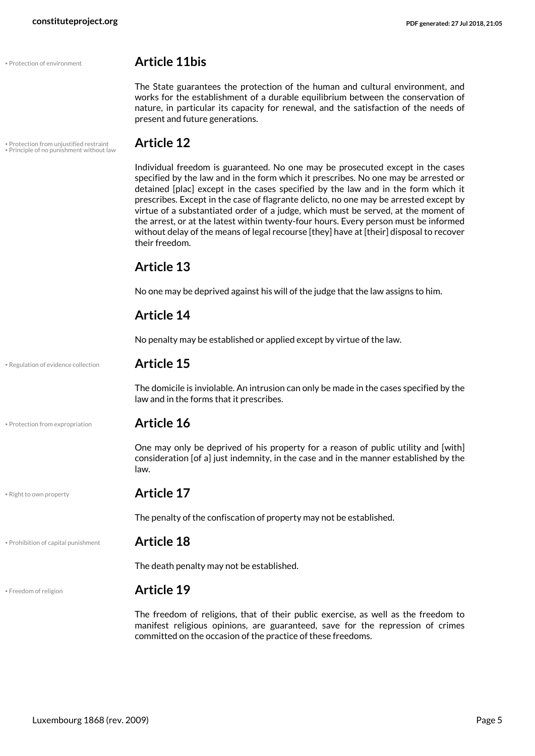#### • Protection of environment **Article 11bis**

<span id="page-4-5"></span>The State guarantees the protection of the human and cultural environment, and works for the establishment of a durable equilibrium between the conservation of nature, in particular its capacity for renewal, and the satisfaction of the needs of present and future generations.

• Protection from unjustified restraint **Article 12** • Principle of no punishment without law

<span id="page-4-4"></span><span id="page-4-1"></span>Individual freedom is guaranteed. No one may be prosecuted except in the cases specified by the law and in the form which it prescribes. No one may be arrested or detained [plac] except in the cases specified by the law and in the form which it prescribes. Except in the case of flagrante delicto, no one may be arrested except by virtue of a substantiated order of a judge, which must be served, at the moment of the arrest, or at the latest within twenty-four hours. Every person must be informed without delay of the means of legal recourse [they] have at [their] disposal to recover their freedom.

#### **Article 13**

No one may be deprived against his will of the judge that the law assigns to him.

#### **Article 14**

No penalty may be established or applied except by virtue of the law.

• Regulation of evidence collection **Article 15**

<span id="page-4-6"></span>

The domicile is inviolable. An intrusion can only be made in the cases specified by the law and in the forms that it prescribes.

• Protection from expropriation **Article 16**

<span id="page-4-3"></span>One may only be deprived of his property for a reason of public utility and [with] consideration [of a] just indemnity, in the case and in the manner established by the law.

<span id="page-4-7"></span>

#### • Right to own property **Article 17**

The penalty of the confiscation of property may not be established.

• Prohibition of capital punishment **Article 18**

<span id="page-4-2"></span>

The death penalty may not be established.

#### <span id="page-4-0"></span>• Freedom of religion **Article 19**

The freedom of religions, that of their public exercise, as well as the freedom to manifest religious opinions, are guaranteed, save for the repression of crimes committed on the occasion of the practice of these freedoms.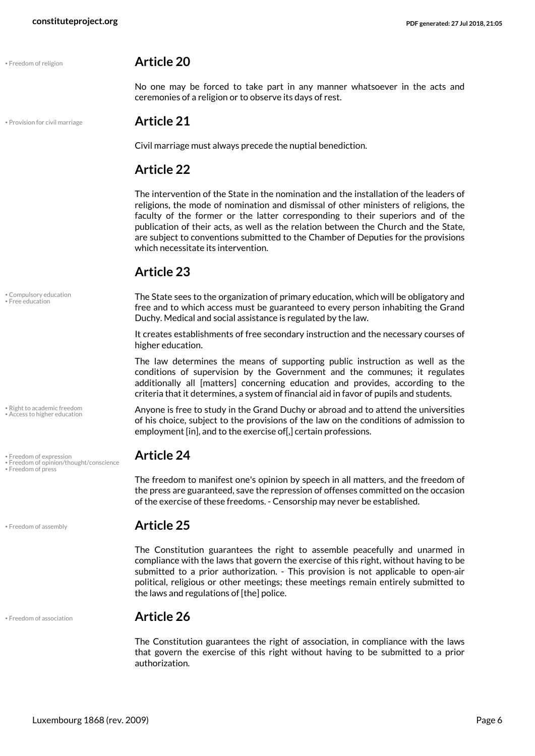<span id="page-5-8"></span>

#### • Freedom of religion **Article 20**

No one may be forced to take part in any manner whatsoever in the acts and ceremonies of a religion or to observe its days of rest.

#### • Provision for civil marriage **Article 21**

<span id="page-5-9"></span>Civil marriage must always precede the nuptial benediction.

#### **Article 22**

The intervention of the State in the nomination and the installation of the leaders of religions, the mode of nomination and dismissal of other ministers of religions, the faculty of the former or the latter corresponding to their superiors and of the publication of their acts, as well as the relation between the Church and the State, are subject to conventions submitted to the Chamber of Deputies for the provisions which necessitate its intervention.

#### **Article 23**

<span id="page-5-1"></span>The State sees to the organization of primary education, which will be obligatory and free and to which access must be guaranteed to every person inhabiting the Grand Duchy. Medical and social assistance is regulated by the law.

It creates establishments of free secondary instruction and the necessary courses of higher education.

The law determines the means of supporting public instruction as well as the conditions of supervision by the Government and the communes; it regulates additionally all [matters] concerning education and provides, according to the criteria that it determines, a system of financial aid in favor of pupils and students.

<span id="page-5-10"></span><span id="page-5-0"></span>Anyone is free to study in the Grand Duchy or abroad and to attend the universities of his choice, subject to the provisions of the law on the conditions of admission to employment [in], and to the exercise of[,] certain professions.

<span id="page-5-6"></span>The freedom to manifest one's opinion by speech in all matters, and the freedom of the press are guaranteed, save the repression of offenses committed on the occasion of the exercise of these freedoms. - Censorship may never be established.

#### • Freedom of assembly **Article 25**

The Constitution guarantees the right to assemble peacefully and unarmed in compliance with the laws that govern the exercise of this right, without having to be submitted to a prior authorization. - This provision is not applicable to open-air political, religious or other meetings; these meetings remain entirely submitted to the laws and regulations of [the] police.

#### • Freedom of association **Article 26**

<span id="page-5-4"></span>The Constitution guarantees the right of association, in compliance with the laws that govern the exercise of this right without having to be submitted to a prior authorization.

<span id="page-5-2"></span>• Compulsory education • Free education

• Right to academic freedom • Access to higher education

<span id="page-5-5"></span>• Freedom of expression **Article 24** • Freedom of opinion/thought/conscience

<span id="page-5-7"></span>• Freedom of press

<span id="page-5-3"></span>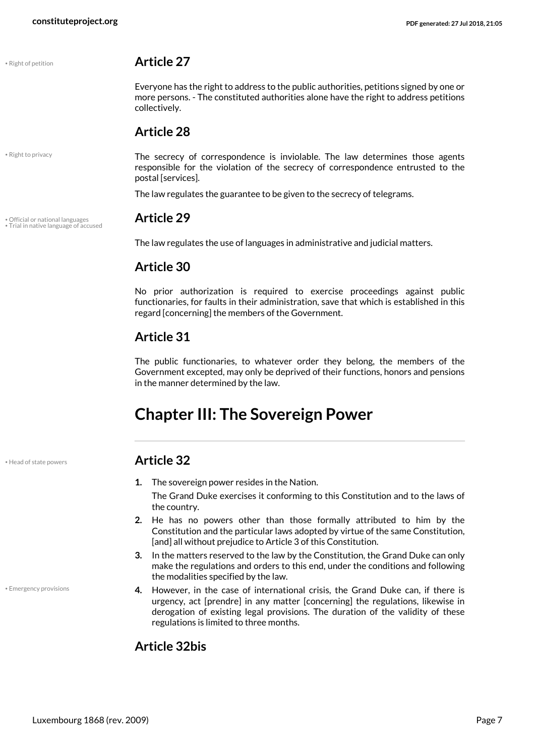<span id="page-6-4"></span>

<span id="page-6-5"></span>• Right to privacy

#### • Right of petition **Article 27**

Everyone has the right to address to the public authorities, petitions signed by one or more persons. - The constituted authorities alone have the right to address petitions collectively.

#### **Article 28**

The secrecy of correspondence is inviolable. The law determines those agents responsible for the violation of the secrecy of correspondence entrusted to the postal [services].

The law regulates the guarantee to be given to the secrecy of telegrams.

# • Official or national languages **Article 29** • Trial in native language of accused

<span id="page-6-6"></span><span id="page-6-3"></span>The law regulates the use of languages in administrative and judicial matters.

#### **Article 30**

No prior authorization is required to exercise proceedings against public functionaries, for faults in their administration, save that which is established in this regard [concerning] the members of the Government.

### **Article 31**

The public functionaries, to whatever order they belong, the members of the Government excepted, may only be deprived of their functions, honors and pensions in the manner determined by the law.

# <span id="page-6-0"></span>**Chapter III: The Sovereign Power**

• Head of state powers **Article 32**

- **1.** The sovereign power resides in the Nation. The Grand Duke exercises it conforming to this Constitution and to the laws of the country.
- **2.** He has no powers other than those formally attributed to him by the Constitution and the particular laws adopted by virtue of the same Constitution, [and] all without prejudice to Article 3 of this Constitution.
- **3.** In the matters reserved to the law by the Constitution, the Grand Duke can only make the regulations and orders to this end, under the conditions and following the modalities specified by the law.
- **4.** However, in the case of international crisis, the Grand Duke can, if there is urgency, act [prendre] in any matter [concerning] the regulations, likewise in derogation of existing legal provisions. The duration of the validity of these regulations is limited to three months.

### **Article 32bis**

<span id="page-6-1"></span>• Emergency provisions

<span id="page-6-2"></span>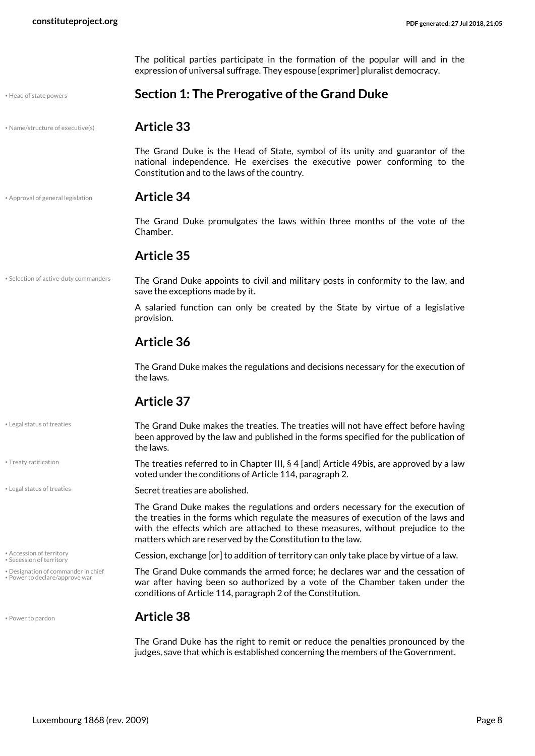<span id="page-7-0"></span>The political parties participate in the formation of the popular will and in the expression of universal suffrage. They espouse [exprimer] pluralist democracy.

<span id="page-7-4"></span>• Head of state powers **Section 1: The Prerogative of the Grand Duke**

• Name/structure of executive(s) **Article 33**

<span id="page-7-6"></span>The Grand Duke is the Head of State, symbol of its unity and guarantor of the national independence. He exercises the executive power conforming to the Constitution and to the laws of the country.

• Approval of general legislation **Article 34**

<span id="page-7-2"></span>The Grand Duke promulgates the laws within three months of the vote of the Chamber.

#### **Article 35**

• Selection of active-duty commanders

• Legal status of treaties

<span id="page-7-11"></span>• Treaty ratification

• Secession of territory

• Designation of commander in chief • Power to declare/approve war

<span id="page-7-10"></span>The Grand Duke appoints to civil and military posts in conformity to the law, and save the exceptions made by it.

A salaried function can only be created by the State by virtue of a legislative provision.

#### **Article 36**

The Grand Duke makes the regulations and decisions necessary for the execution of the laws.

#### **Article 37**

The Grand Duke makes the treaties. The treaties will not have effect before having been approved by the law and published in the forms specified for the publication of the laws.

<span id="page-7-5"></span>The treaties referred to in Chapter III, § 4 [and] Article 49bis, are approved by a law voted under the conditions of Article 114, paragraph 2.

• Legal status of treaties **Secret treaties are abolished.** 

The Grand Duke makes the regulations and orders necessary for the execution of the treaties in the forms which regulate the measures of execution of the laws and with the effects which are attached to these measures, without prejudice to the matters which are reserved by the Constitution to the law.

<span id="page-7-9"></span><span id="page-7-1"></span>Accession of territory **Example 20 Constraints Cession, exchange [or] to addition of territory can only take place by virtue of a law.** 

<span id="page-7-7"></span><span id="page-7-3"></span>The Grand Duke commands the armed force; he declares war and the cessation of war after having been so authorized by a vote of the Chamber taken under the conditions of Article 114, paragraph 2 of the Constitution.

#### <span id="page-7-8"></span>• Power to pardon **Article 38**

The Grand Duke has the right to remit or reduce the penalties pronounced by the judges, save that which is established concerning the members of the Government.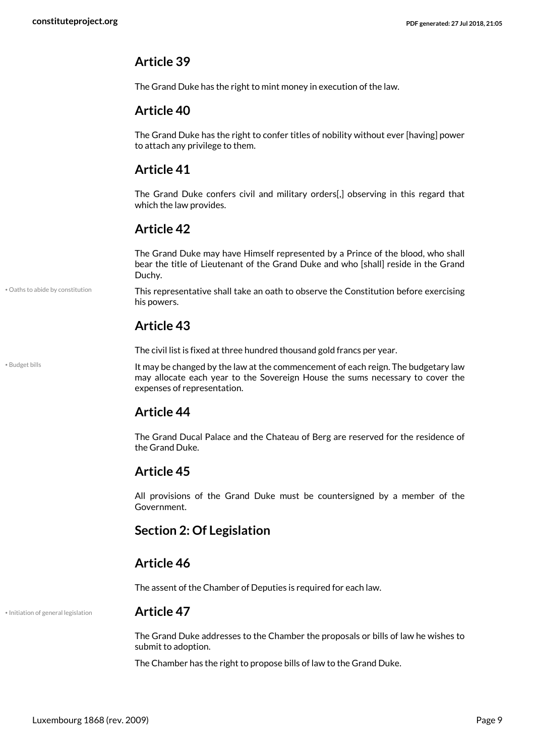#### **Article 39**

The Grand Duke has the right to mint money in execution of the law.

#### **Article 40**

The Grand Duke has the right to confer titles of nobility without ever [having] power to attach any privilege to them.

#### **Article 41**

The Grand Duke confers civil and military orders[,] observing in this regard that which the law provides.

#### **Article 42**

The Grand Duke may have Himself represented by a Prince of the blood, who shall bear the title of Lieutenant of the Grand Duke and who [shall] reside in the Grand Duchy.

<span id="page-8-3"></span>This representative shall take an oath to observe the Constitution before exercising his powers.

#### **Article 43**

The civil list is fixed at three hundred thousand gold francs per year.

It may be changed by the law at the commencement of each reign. The budgetary law may allocate each year to the Sovereign House the sums necessary to cover the expenses of representation.

#### **Article 44**

The Grand Ducal Palace and the Chateau of Berg are reserved for the residence of the Grand Duke.

#### **Article 45**

All provisions of the Grand Duke must be countersigned by a member of the Government.

#### <span id="page-8-0"></span>**Section 2: Of Legislation**

#### **Article 46**

The assent of the Chamber of Deputies is required for each law.

• Initiation of general legislation **Article 47**

• Oaths to abide by constitution

<span id="page-8-1"></span>• Budget bills

<span id="page-8-2"></span>The Grand Duke addresses to the Chamber the proposals or bills of law he wishes to submit to adoption.

The Chamber has the right to propose bills of law to the Grand Duke.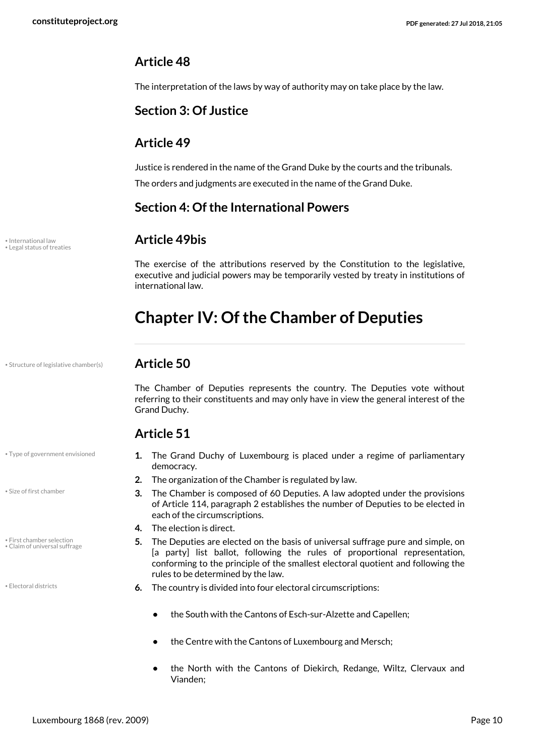#### **Article 48**

The interpretation of the laws by way of authority may on take place by the law.

#### <span id="page-9-0"></span>**Section 3: Of Justice**

#### **Article 49**

Justice is rendered in the name of the Grand Duke by the courts and the tribunals. The orders and judgments are executed in the name of the Grand Duke.

#### <span id="page-9-1"></span>**Section 4: Of the International Powers**

#### <span id="page-9-6"></span>• International law **Article 49bis**

The exercise of the attributions reserved by the Constitution to the legislative, executive and judicial powers may be temporarily vested by treaty in institutions of international law.

# <span id="page-9-2"></span>**Chapter IV: Of the Chamber of Deputies**

• Structure of legislative chamber(s) **Article 50**

<span id="page-9-7"></span>• Legal status of treaties

<span id="page-9-9"></span>The Chamber of Deputies represents the country. The Deputies vote without referring to their constituents and may only have in view the general interest of the Grand Duchy.

#### **Article 51**

• Type of government envisioned

<span id="page-9-8"></span>• Size of first chamber

• First chamber selection • Claim of universal suffrage

<span id="page-9-4"></span>

- <span id="page-9-10"></span>**1.** The Grand Duchy of Luxembourg is placed under a regime of parliamentary democracy.
- **2.** The organization of the Chamber is regulated by law.
- **3.** The Chamber is composed of 60 Deputies. A law adopted under the provisions of Article 114, paragraph 2 establishes the number of Deputies to be elected in each of the circumscriptions.
- **4.** The election is direct.
- <span id="page-9-5"></span><span id="page-9-3"></span>**5.** The Deputies are elected on the basis of universal suffrage pure and simple, on [a party] list ballot, following the rules of proportional representation, conforming to the principle of the smallest electoral quotient and following the rules to be determined by the law.
- **6.** The country is divided into four electoral circumscriptions:
	- **•** the South with the Cantons of Esch-sur-Alzette and Capellen;
	- **•** the Centre with the Cantons of Luxembourg and Mersch;
	- **•** the North with the Cantons of Diekirch, Redange, Wiltz, Clervaux and Vianden;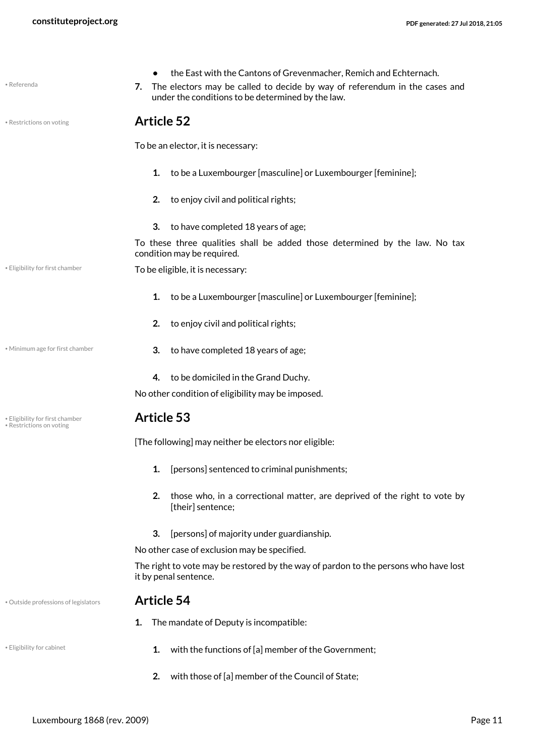<span id="page-10-4"></span><span id="page-10-2"></span>

| • Referenda                                                 | the East with the Cantons of Grevenmacher, Remich and Echternach.<br>The electors may be called to decide by way of referendum in the cases and<br>7.<br>under the conditions to be determined by the law. |
|-------------------------------------------------------------|------------------------------------------------------------------------------------------------------------------------------------------------------------------------------------------------------------|
| • Restrictions on voting                                    | <b>Article 52</b>                                                                                                                                                                                          |
|                                                             | To be an elector, it is necessary:                                                                                                                                                                         |
|                                                             | 1.<br>to be a Luxembourger [masculine] or Luxembourger [feminine];                                                                                                                                         |
|                                                             | 2.<br>to enjoy civil and political rights;                                                                                                                                                                 |
|                                                             | 3.<br>to have completed 18 years of age;                                                                                                                                                                   |
|                                                             | To these three qualities shall be added those determined by the law. No tax<br>condition may be required.                                                                                                  |
| . Eligibility for first chamber                             | To be eligible, it is necessary:                                                                                                                                                                           |
|                                                             | 1.<br>to be a Luxembourger [masculine] or Luxembourger [feminine];                                                                                                                                         |
|                                                             | 2.<br>to enjoy civil and political rights;                                                                                                                                                                 |
| • Minimum age for first chamber                             | 3.<br>to have completed 18 years of age;                                                                                                                                                                   |
|                                                             | to be domiciled in the Grand Duchy.<br>4.                                                                                                                                                                  |
|                                                             | No other condition of eligibility may be imposed.                                                                                                                                                          |
| · Eligibility for first chamber<br>• Restrictions on voting | <b>Article 53</b>                                                                                                                                                                                          |
|                                                             | [The following] may neither be electors nor eligible:                                                                                                                                                      |
|                                                             | [persons] sentenced to criminal punishments;<br>1.                                                                                                                                                         |
|                                                             | 2.<br>those who, in a correctional matter, are deprived of the right to vote by<br>[their] sentence;                                                                                                       |
|                                                             | 3.<br>[persons] of majority under guardianship.                                                                                                                                                            |
|                                                             | No other case of exclusion may be specified.                                                                                                                                                               |
|                                                             | The right to vote may be restored by the way of pardon to the persons who have lost<br>it by penal sentence.                                                                                               |
| · Outside professions of legislators                        | <b>Article 54</b>                                                                                                                                                                                          |
|                                                             | The mandate of Deputy is incompatible:<br>1.                                                                                                                                                               |
| • Eligibility for cabinet                                   | with the functions of [a] member of the Government;<br>1.                                                                                                                                                  |

<span id="page-10-5"></span><span id="page-10-3"></span><span id="page-10-1"></span><span id="page-10-0"></span>**2.** with those of [a] member of the Council of State;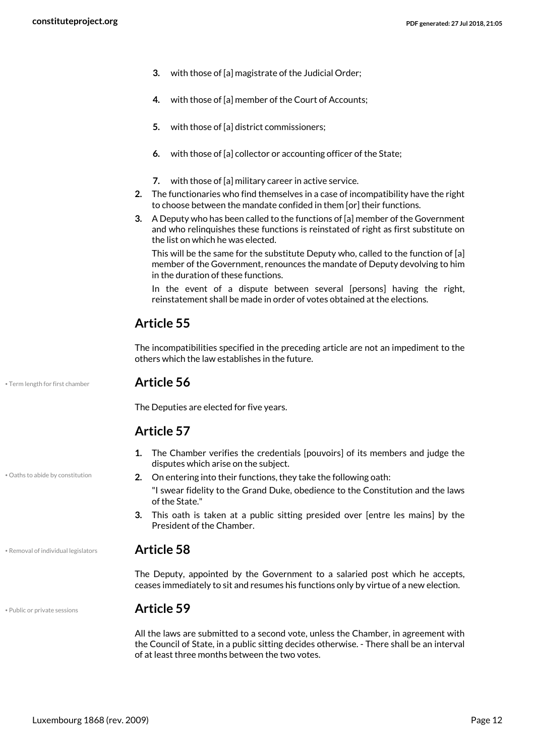- **3.** with those of [a] magistrate of the Judicial Order;
- **4.** with those of [a] member of the Court of Accounts;
- **5.** with those of [a] district commissioners;
- **6.** with those of [a] collector or accounting officer of the State;
- **7.** with those of [a] military career in active service.
- **2.** The functionaries who find themselves in a case of incompatibility have the right to choose between the mandate confided in them [or] their functions.
- **3.** A Deputy who has been called to the functions of [a] member of the Government and who relinquishes these functions is reinstated of right as first substitute on the list on which he was elected.

This will be the same for the substitute Deputy who, called to the function of [a] member of the Government, renounces the mandate of Deputy devolving to him in the duration of these functions.

In the event of a dispute between several [persons] having the right, reinstatement shall be made in order of votes obtained at the elections.

#### **Article 55**

The incompatibilities specified in the preceding article are not an impediment to the others which the law establishes in the future.

• Term length for first chamber **Article 56**

<span id="page-11-3"></span>The Deputies are elected for five years.

#### **Article 57**

- <span id="page-11-0"></span>**1.** The Chamber verifies the credentials [pouvoirs] of its members and judge the disputes which arise on the subject.
- Oaths to abide by constitution **2.** On entering into their functions, they take the following oath:

"I swear fidelity to the Grand Duke, obedience to the Constitution and the laws of the State."

**3.** This oath is taken at a public sitting presided over [entre les mains] by the President of the Chamber.

#### • Removal of individual legislators **Article 58**

<span id="page-11-2"></span>The Deputy, appointed by the Government to a salaried post which he accepts, ceases immediately to sit and resumes his functions only by virtue of a new election.

#### • Public or private sessions **Article 59**

<span id="page-11-1"></span>All the laws are submitted to a second vote, unless the Chamber, in agreement with the Council of State, in a public sitting decides otherwise. - There shall be an interval of at least three months between the two votes.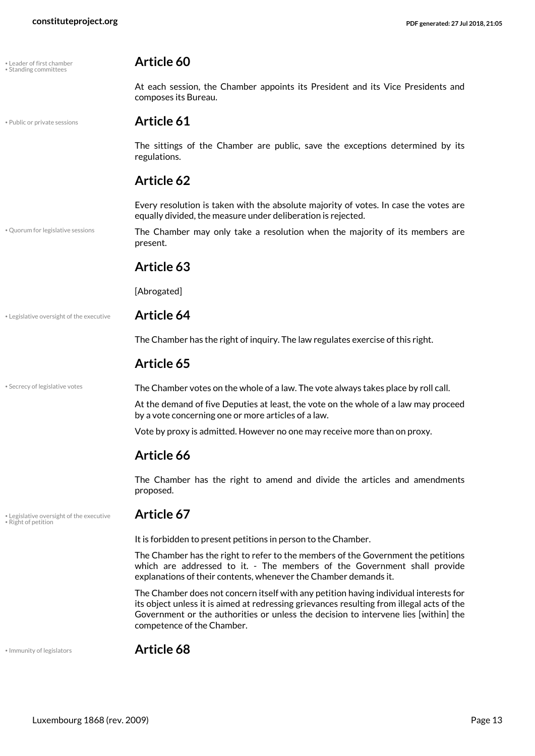<span id="page-12-7"></span>

| Leader of first chamber |  |
|-------------------------|--|
| Standing committees     |  |

• Public or private sessions **Article 61**

• Quorum for legislative sessions

### composes its Bureau.

<span id="page-12-1"></span>**Article 60** 

<span id="page-12-3"></span>

The sittings of the Chamber are public, save the exceptions determined by its regulations.

At each session, the Chamber appoints its President and its Vice Presidents and

#### **Article 62**

Every resolution is taken with the absolute majority of votes. In case the votes are equally divided, the measure under deliberation is rejected.

<span id="page-12-4"></span>The Chamber may only take a resolution when the majority of its members are present.

#### **Article 63**

[Abrogated]

#### • Legislative oversight of the executive **Article 64**

The Chamber has the right of inquiry. The law regulates exercise of this right.

#### **Article 65**

\* Secrecy of legislative votes **on the Chamber votes on the whole of a law. The vote always takes place by roll call.** 

<span id="page-12-6"></span>At the demand of five Deputies at least, the vote on the whole of a law may proceed by a vote concerning one or more articles of a law.

Vote by proxy is admitted. However no one may receive more than on proxy.

#### **Article 66**

The Chamber has the right to amend and divide the articles and amendments proposed.

<span id="page-12-5"></span>• Legislative oversight of the executive **Article 67** • Right of petition

<span id="page-12-2"></span>It is forbidden to present petitions in person to the Chamber.

The Chamber has the right to refer to the members of the Government the petitions which are addressed to it. - The members of the Government shall provide explanations of their contents, whenever the Chamber demands it.

The Chamber does not concern itself with any petition having individual interests for its object unless it is aimed at redressing grievances resulting from illegal acts of the Government or the authorities or unless the decision to intervene lies [within] the competence of the Chamber.

<span id="page-12-0"></span>

• Immunity of legislators **Article 68**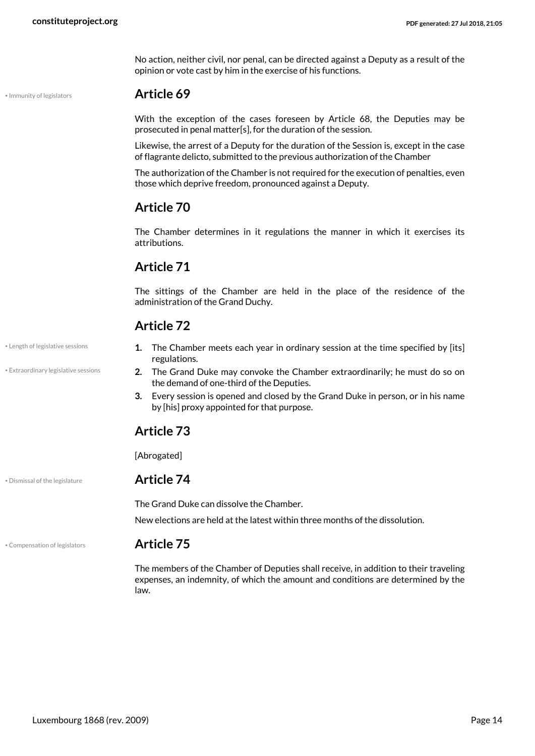No action, neither civil, nor penal, can be directed against a Deputy as a result of the opinion or vote cast by him in the exercise of his functions.

<span id="page-13-3"></span>

#### • Immunity of legislators **Article 69**

With the exception of the cases foreseen by Article 68, the Deputies may be prosecuted in penal matter[s], for the duration of the session.

Likewise, the arrest of a Deputy for the duration of the Session is, except in the case of flagrante delicto, submitted to the previous authorization of the Chamber

The authorization of the Chamber is not required for the execution of penalties, even those which deprive freedom, pronounced against a Deputy.

#### **Article 70**

The Chamber determines in it regulations the manner in which it exercises its attributions.

#### **Article 71**

The sittings of the Chamber are held in the place of the residence of the administration of the Grand Duchy.

#### **Article 72**

- <span id="page-13-4"></span>**1.** The Chamber meets each year in ordinary session at the time specified by [its] regulations.
- <span id="page-13-2"></span>**2.** The Grand Duke may convoke the Chamber extraordinarily; he must do so on the demand of one-third of the Deputies.
- **3.** Every session is opened and closed by the Grand Duke in person, or in his name by [his] proxy appointed for that purpose.

#### **Article 73**

[Abrogated]

#### • Dismissal of the legislature **Article 74**

<span id="page-13-1"></span>The Grand Duke can dissolve the Chamber.

New elections are held at the latest within three months of the dissolution.

#### • Compensation of legislators **Article 75**

<span id="page-13-0"></span>The members of the Chamber of Deputies shall receive, in addition to their traveling expenses, an indemnity, of which the amount and conditions are determined by the law.

• Length of legislative sessions

• Extraordinary legislative sessions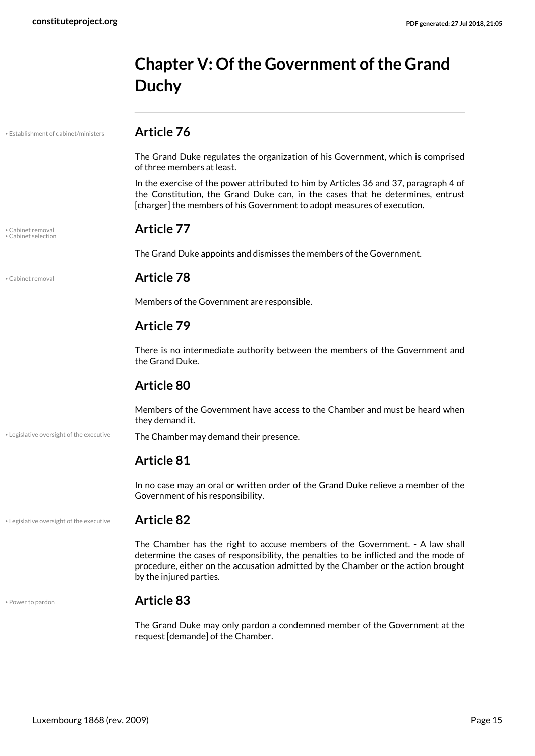# <span id="page-14-0"></span>**Chapter V: Of the Government of the Grand Duchy**

• Establishment of cabinet/ministers **Article 76**

<span id="page-14-3"></span>The Grand Duke regulates the organization of his Government, which is comprised of three members at least.

In the exercise of the power attributed to him by Articles 36 and 37, paragraph 4 of the Constitution, the Grand Duke can, in the cases that he determines, entrust [charger] the members of his Government to adopt measures of execution.

## <span id="page-14-2"></span>• Cabinet removal **Article 77** • Cabinet selection

The Grand Duke appoints and dismisses the members of the Government.

<span id="page-14-1"></span>

#### • Cabinet removal **Article 78**

Members of the Government are responsible.

#### **Article 79**

There is no intermediate authority between the members of the Government and the Grand Duke.

#### **Article 80**

Members of the Government have access to the Chamber and must be heard when they demand it.

• Legislative oversight of the executive The Chamber may demand their presence.

#### **Article 81**

In no case may an oral or written order of the Grand Duke relieve a member of the Government of his responsibility.

#### • Legislative oversight of the executive **Article 82**

<span id="page-14-4"></span>The Chamber has the right to accuse members of the Government. - A law shall determine the cases of responsibility, the penalties to be inflicted and the mode of procedure, either on the accusation admitted by the Chamber or the action brought by the injured parties.

#### <span id="page-14-5"></span>• Power to pardon **Article 83**

The Grand Duke may only pardon a condemned member of the Government at the request [demande] of the Chamber.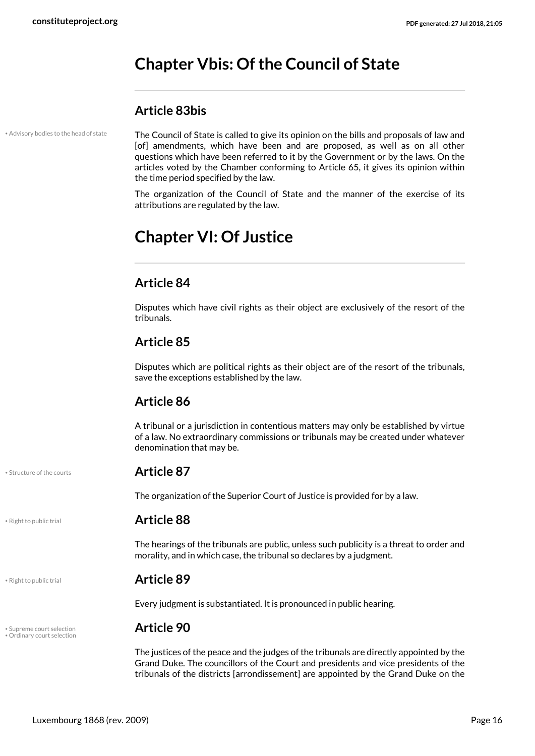# <span id="page-15-0"></span>**Chapter Vbis: Of the Council of State**

#### **Article 83bis**

• Advisory bodies to the head of state

<span id="page-15-2"></span>The Council of State is called to give its opinion on the bills and proposals of law and [of] amendments, which have been and are proposed, as well as on all other questions which have been referred to it by the Government or by the laws. On the articles voted by the Chamber conforming to Article 65, it gives its opinion within the time period specified by the law.

The organization of the Council of State and the manner of the exercise of its attributions are regulated by the law.

# <span id="page-15-1"></span>**Chapter VI: Of Justice**

#### **Article 84**

Disputes which have civil rights as their object are exclusively of the resort of the tribunals.

#### **Article 85**

Disputes which are political rights as their object are of the resort of the tribunals, save the exceptions established by the law.

#### **Article 86**

A tribunal or a jurisdiction in contentious matters may only be established by virtue of a law. No extraordinary commissions or tribunals may be created under whatever denomination that may be.

#### <span id="page-15-5"></span>• Structure of the courts **Article 87**

The organization of the Superior Court of Justice is provided for by a law.

#### • Right to public trial **Article 88**

The hearings of the tribunals are public, unless such publicity is a threat to order and morality, and in which case, the tribunal so declares by a judgment.

#### <span id="page-15-4"></span>• Right to public trial **Article 89**

<span id="page-15-6"></span>Every judgment is substantiated. It is pronounced in public hearing.

# • Supreme court selection **Article 90** • Ordinary court selection

<span id="page-15-3"></span>The justices of the peace and the judges of the tribunals are directly appointed by the Grand Duke. The councillors of the Court and presidents and vice presidents of the tribunals of the districts [arrondissement] are appointed by the Grand Duke on the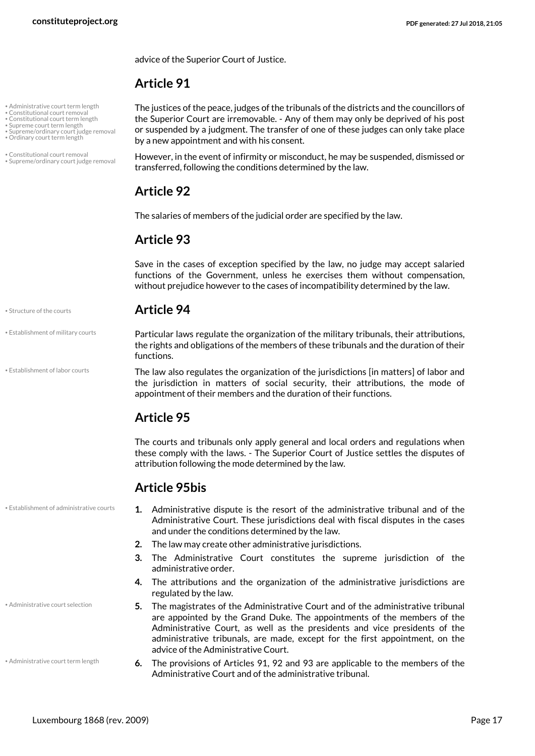advice of the Superior Court of Justice.

#### **Article 91**

• Administrative court term length

- Constitutional court removal Constitutional court term length
- Supreme court term length
- Supreme/ordinary court judge removal • Ordinary court term length
- 
- Constitutional court removal • Supreme/ordinary court judge removal

<span id="page-16-9"></span><span id="page-16-3"></span>The justices of the peace, judges of the tribunals of the districts and the councillors of the Superior Court are irremovable. - Any of them may only be deprived of his post or suspended by a judgment. The transfer of one of these judges can only take place by a new appointment and with his consent.

<span id="page-16-10"></span><span id="page-16-7"></span><span id="page-16-2"></span>However, in the event of infirmity or misconduct, he may be suspended, dismissed or transferred, following the conditions determined by the law.

#### **Article 92**

The salaries of members of the judicial order are specified by the law.

#### **Article 93**

Save in the cases of exception specified by the law, no judge may accept salaried functions of the Government, unless he exercises them without compensation, without prejudice however to the cases of incompatibility determined by the law.

#### • Structure of the courts **Article 94**

<span id="page-16-8"></span><span id="page-16-6"></span>Particular laws regulate the organization of the military tribunals, their attributions, the rights and obligations of the members of these tribunals and the duration of their functions.

<span id="page-16-5"></span>The law also regulates the organization of the jurisdictions [in matters] of labor and the jurisdiction in matters of social security, their attributions, the mode of appointment of their members and the duration of their functions.

#### **Article 95**

The courts and tribunals only apply general and local orders and regulations when these comply with the laws. - The Superior Court of Justice settles the disputes of attribution following the mode determined by the law.

#### **Article 95bis**

- <span id="page-16-4"></span>**1.** Administrative dispute is the resort of the administrative tribunal and of the Administrative Court. These jurisdictions deal with fiscal disputes in the cases and under the conditions determined by the law.
- **2.** The law may create other administrative jurisdictions.
- **3.** The Administrative Court constitutes the supreme jurisdiction of the administrative order.
- **4.** The attributions and the organization of the administrative jurisdictions are regulated by the law.
- <span id="page-16-0"></span>**5.** The magistrates of the Administrative Court and of the administrative tribunal are appointed by the Grand Duke. The appointments of the members of the Administrative Court, as well as the presidents and vice presidents of the administrative tribunals, are made, except for the first appointment, on the advice of the Administrative Court.
- <span id="page-16-1"></span>**6.** The provisions of Articles 91, 92 and 93 are applicable to the members of the Administrative Court and of the administrative tribunal.

• Establishment of military courts

• Establishment of labor courts

• Establishment of administrative courts

• Administrative court selection

• Administrative court term length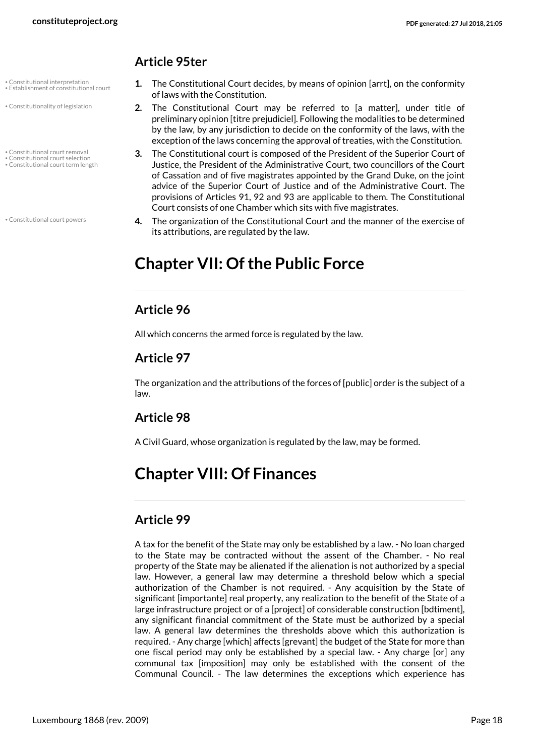#### **Article 95ter**

- Constitutional interpretation • Establishment of constitutional court
- Constitutionality of legislation
- Constitutional court removal
- Constitutional court selection • Constitutional court term length

• Constitutional court powers

- <span id="page-17-8"></span><span id="page-17-6"></span>**1.** The Constitutional Court decides, by means of opinion [arrt], on the conformity of laws with the Constitution.
- <span id="page-17-7"></span>**2.** The Constitutional Court may be referred to [a matter], under title of preliminary opinion [titre prejudiciel]. Following the modalities to be determined by the law, by any jurisdiction to decide on the conformity of the laws, with the exception of the laws concerning the approval of treaties, with the Constitution.
- <span id="page-17-5"></span><span id="page-17-4"></span><span id="page-17-3"></span>**3.** The Constitutional court is composed of the President of the Superior Court of Justice, the President of the Administrative Court, two councillors of the Court of Cassation and of five magistrates appointed by the Grand Duke, on the joint advice of the Superior Court of Justice and of the Administrative Court. The provisions of Articles 91, 92 and 93 are applicable to them. The Constitutional Court consists of one Chamber which sits with five magistrates.
- <span id="page-17-2"></span>**4.** The organization of the Constitutional Court and the manner of the exercise of its attributions, are regulated by the law.

# <span id="page-17-0"></span>**Chapter VII: Of the Public Force**

#### **Article 96**

All which concerns the armed force is regulated by the law.

#### **Article 97**

The organization and the attributions of the forces of [public] order is the subject of a law.

#### **Article 98**

A Civil Guard, whose organization is regulated by the law, may be formed.

# <span id="page-17-1"></span>**Chapter VIII: Of Finances**

### **Article 99**

A tax for the benefit of the State may only be established by a law. - No loan charged to the State may be contracted without the assent of the Chamber. - No real property of the State may be alienated if the alienation is not authorized by a special law. However, a general law may determine a threshold below which a special authorization of the Chamber is not required. - Any acquisition by the State of significant [importante] real property, any realization to the benefit of the State of a large infrastructure project or of a [project] of considerable construction [bdtiment], any significant financial commitment of the State must be authorized by a special law. A general law determines the thresholds above which this authorization is required. - Any charge [which] affects [grevant] the budget of the State for more than one fiscal period may only be established by a special law. - Any charge [or] any communal tax [imposition] may only be established with the consent of the Communal Council. - The law determines the exceptions which experience has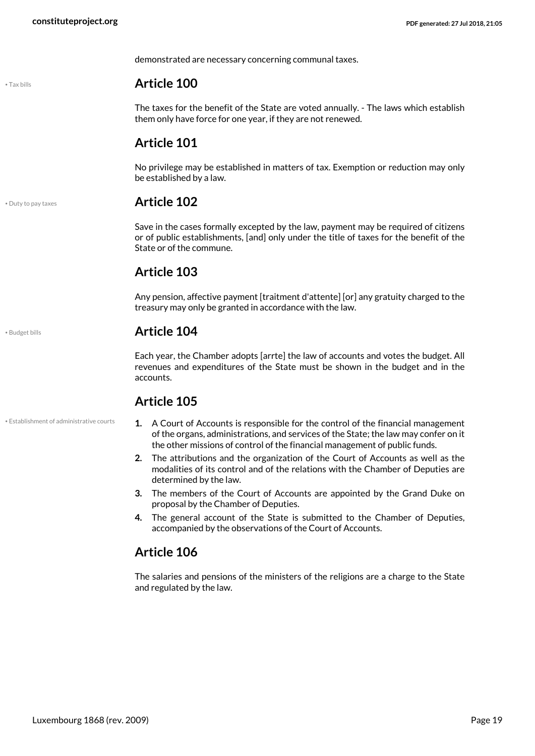demonstrated are necessary concerning communal taxes.

#### <span id="page-18-3"></span>• Tax bills **Article 100**

The taxes for the benefit of the State are voted annually. - The laws which establish them only have force for one year, if they are not renewed.

#### **Article 101**

No privilege may be established in matters of tax. Exemption or reduction may only be established by a law.

#### <span id="page-18-1"></span>• Duty to pay taxes **Article 102**

Save in the cases formally excepted by the law, payment may be required of citizens or of public establishments, [and] only under the title of taxes for the benefit of the State or of the commune.

### **Article 103**

Any pension, affective payment [traitment d'attente] [or] any gratuity charged to the treasury may only be granted in accordance with the law.

#### • Budget bills **Article 104**

Each year, the Chamber adopts [arrte] the law of accounts and votes the budget. All revenues and expenditures of the State must be shown in the budget and in the accounts.

#### **Article 105**

- <span id="page-18-2"></span>**1.** A Court of Accounts is responsible for the control of the financial management of the organs, administrations, and services of the State; the law may confer on it the other missions of control of the financial management of public funds.
- **2.** The attributions and the organization of the Court of Accounts as well as the modalities of its control and of the relations with the Chamber of Deputies are determined by the law.
- **3.** The members of the Court of Accounts are appointed by the Grand Duke on proposal by the Chamber of Deputies.
- **4.** The general account of the State is submitted to the Chamber of Deputies, accompanied by the observations of the Court of Accounts.

#### **Article 106**

The salaries and pensions of the ministers of the religions are a charge to the State and regulated by the law.

<span id="page-18-0"></span>

• Establishment of administrative courts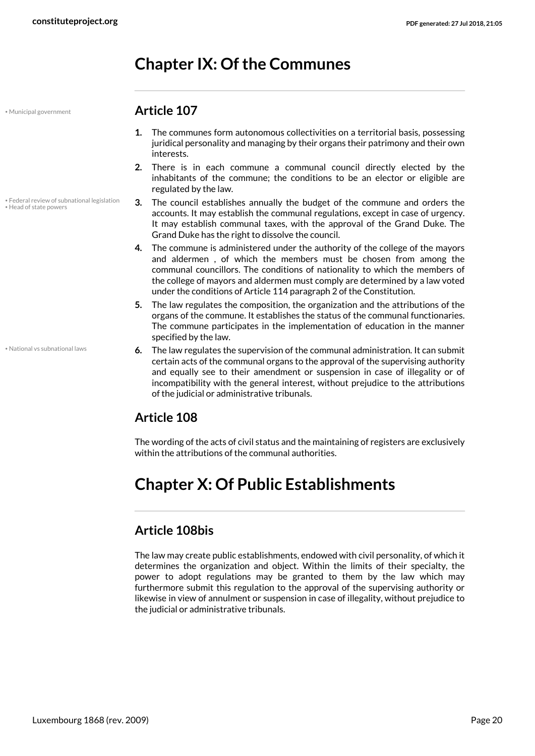# <span id="page-19-0"></span>**Chapter IX: Of the Communes**

<span id="page-19-3"></span>• Head of state powers

<span id="page-19-2"></span>• Federal review of subnational legislation

- <span id="page-19-4"></span>• Municipal government **Article 107**
	- **1.** The communes form autonomous collectivities on a territorial basis, possessing juridical personality and managing by their organs their patrimony and their own interests.
	- **2.** There is in each commune a communal council directly elected by the inhabitants of the commune; the conditions to be an elector or eligible are regulated by the law.
	- **3.** The council establishes annually the budget of the commune and orders the accounts. It may establish the communal regulations, except in case of urgency. It may establish communal taxes, with the approval of the Grand Duke. The Grand Duke has the right to dissolve the council.
	- **4.** The commune is administered under the authority of the college of the mayors and aldermen , of which the members must be chosen from among the communal councillors. The conditions of nationality to which the members of the college of mayors and aldermen must comply are determined by a law voted under the conditions of Article 114 paragraph 2 of the Constitution.
	- **5.** The law regulates the composition, the organization and the attributions of the organs of the commune. It establishes the status of the communal functionaries. The commune participates in the implementation of education in the manner specified by the law.
	- **6.** The law regulates the supervision of the communal administration. It can submit certain acts of the communal organs to the approval of the supervising authority and equally see to their amendment or suspension in case of illegality or of incompatibility with the general interest, without prejudice to the attributions of the judicial or administrative tribunals.

### <span id="page-19-5"></span>**Article 108**

The wording of the acts of civil status and the maintaining of registers are exclusively within the attributions of the communal authorities.

# <span id="page-19-1"></span>**Chapter X: Of Public Establishments**

### **Article 108bis**

The law may create public establishments, endowed with civil personality, of which it determines the organization and object. Within the limits of their specialty, the power to adopt regulations may be granted to them by the law which may furthermore submit this regulation to the approval of the supervising authority or likewise in view of annulment or suspension in case of illegality, without prejudice to the judicial or administrative tribunals.

• National vs subnational laws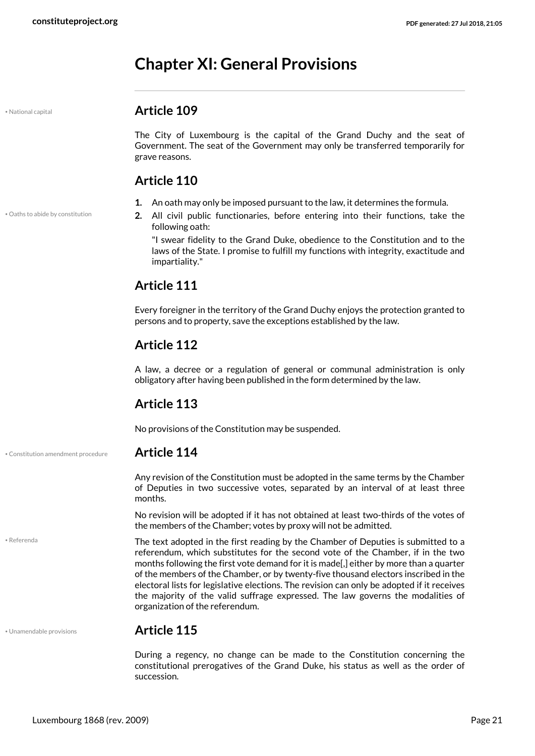# <span id="page-20-0"></span>**Chapter XI: General Provisions**

#### <span id="page-20-2"></span>• National capital **Article 109**

The City of Luxembourg is the capital of the Grand Duchy and the seat of Government. The seat of the Government may only be transferred temporarily for grave reasons.

#### **Article 110**

• Oaths to abide by constitution

- **1.** An oath may only be imposed pursuant to the law, it determines the formula.
- <span id="page-20-3"></span>**2.** All civil public functionaries, before entering into their functions, take the following oath:

"I swear fidelity to the Grand Duke, obedience to the Constitution and to the laws of the State. I promise to fulfill my functions with integrity, exactitude and impartiality."

### **Article 111**

Every foreigner in the territory of the Grand Duchy enjoys the protection granted to persons and to property, save the exceptions established by the law.

### **Article 112**

A law, a decree or a regulation of general or communal administration is only obligatory after having been published in the form determined by the law.

#### **Article 113**

No provisions of the Constitution may be suspended.

• Constitution amendment procedure **Article 114**

<span id="page-20-1"></span>Any revision of the Constitution must be adopted in the same terms by the Chamber of Deputies in two successive votes, separated by an interval of at least three months.

No revision will be adopted if it has not obtained at least two-thirds of the votes of the members of the Chamber; votes by proxy will not be admitted.

The text adopted in the first reading by the Chamber of Deputies is submitted to a referendum, which substitutes for the second vote of the Chamber, if in the two months following the first vote demand for it is made[,] either by more than a quarter of the members of the Chamber, or by twenty-five thousand electors inscribed in the electoral lists for legislative elections. The revision can only be adopted if it receives the majority of the valid suffrage expressed. The law governs the modalities of organization of the referendum.

<span id="page-20-4"></span>• Referenda

#### • Unamendable provisions **Article 115**

<span id="page-20-5"></span>During a regency, no change can be made to the Constitution concerning the constitutional prerogatives of the Grand Duke, his status as well as the order of succession.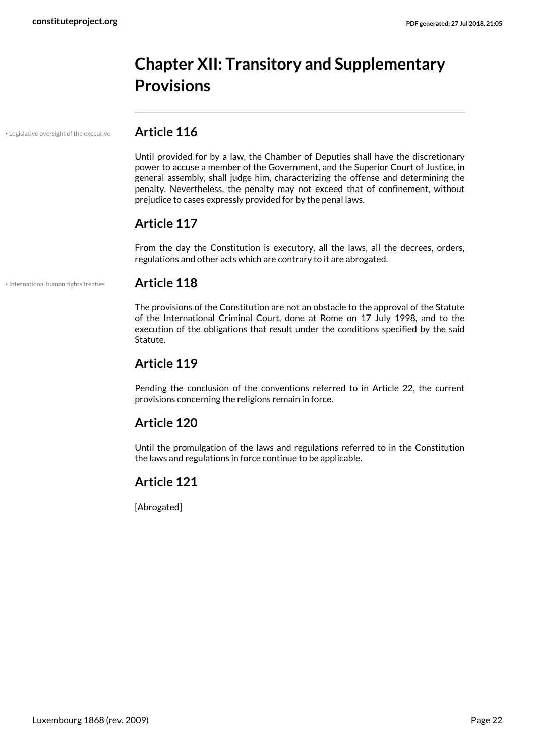# <span id="page-21-0"></span>**Chapter XII: Transitory and Supplementary Provisions**

• Legislative oversight of the executive **Article 116**

<span id="page-21-2"></span>Until provided for by a law, the Chamber of Deputies shall have the discretionary power to accuse a member of the Government, and the Superior Court of Justice, in general assembly, shall judge him, characterizing the offense and determining the penalty. Nevertheless, the penalty may not exceed that of confinement, without prejudice to cases expressly provided for by the penal laws.

#### **Article 117**

From the day the Constitution is executory, all the laws, all the decrees, orders, regulations and other acts which are contrary to it are abrogated.

#### • International human rights treaties **Article 118**

<span id="page-21-1"></span>The provisions of the Constitution are not an obstacle to the approval of the Statute of the International Criminal Court, done at Rome on 17 July 1998, and to the execution of the obligations that result under the conditions specified by the said Statute.

#### **Article 119**

Pending the conclusion of the conventions referred to in Article 22, the current provisions concerning the religions remain in force.

#### **Article 120**

Until the promulgation of the laws and regulations referred to in the Constitution the laws and regulations in force continue to be applicable.

#### **Article 121**

[Abrogated]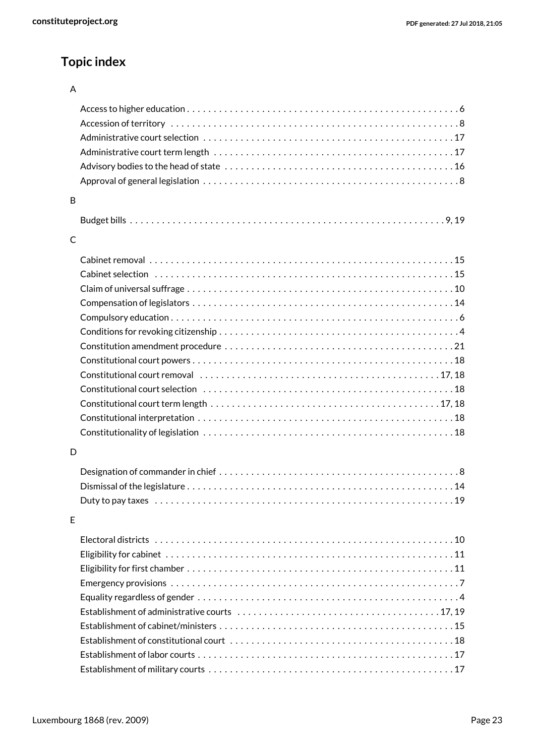### **Topic index**

#### A

| B            |                                                                                                                  |
|--------------|------------------------------------------------------------------------------------------------------------------|
|              |                                                                                                                  |
| $\mathsf{C}$ |                                                                                                                  |
|              |                                                                                                                  |
|              |                                                                                                                  |
|              |                                                                                                                  |
|              |                                                                                                                  |
|              |                                                                                                                  |
|              |                                                                                                                  |
|              |                                                                                                                  |
|              |                                                                                                                  |
|              |                                                                                                                  |
|              |                                                                                                                  |
|              |                                                                                                                  |
|              |                                                                                                                  |
|              |                                                                                                                  |
|              |                                                                                                                  |
| D            |                                                                                                                  |
|              |                                                                                                                  |
|              |                                                                                                                  |
|              | Duty to pay taxes experience in the control of the control of the control of the control of the control of the c |
| E            |                                                                                                                  |
|              |                                                                                                                  |
|              |                                                                                                                  |
|              |                                                                                                                  |
|              |                                                                                                                  |
|              |                                                                                                                  |
|              |                                                                                                                  |
|              |                                                                                                                  |
|              |                                                                                                                  |
|              |                                                                                                                  |
|              |                                                                                                                  |
|              |                                                                                                                  |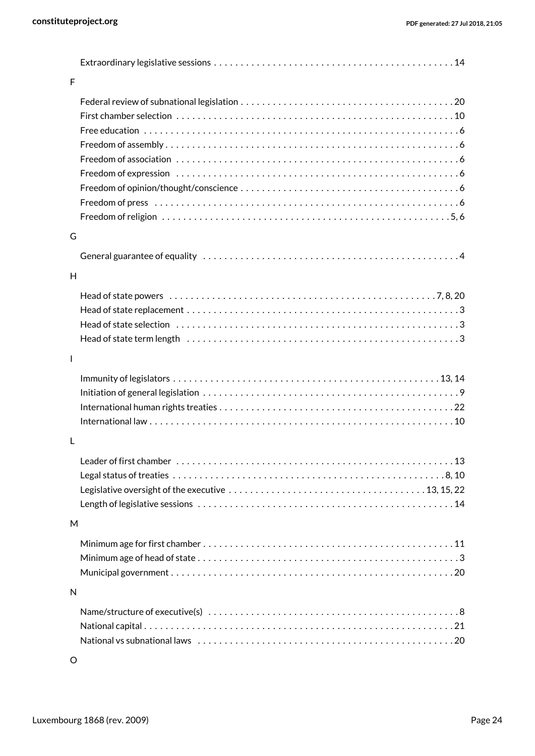| $\overline{F}$<br>G<br>H<br>$\mathbf{I}$ |
|------------------------------------------|
|                                          |
|                                          |
|                                          |
|                                          |
|                                          |
|                                          |
|                                          |
|                                          |
|                                          |
|                                          |
|                                          |
|                                          |
|                                          |
|                                          |
|                                          |
|                                          |
|                                          |
|                                          |
|                                          |
|                                          |
|                                          |
|                                          |
| L                                        |
|                                          |
|                                          |
|                                          |
|                                          |
|                                          |
| M                                        |
|                                          |
|                                          |
|                                          |
| N                                        |
|                                          |
|                                          |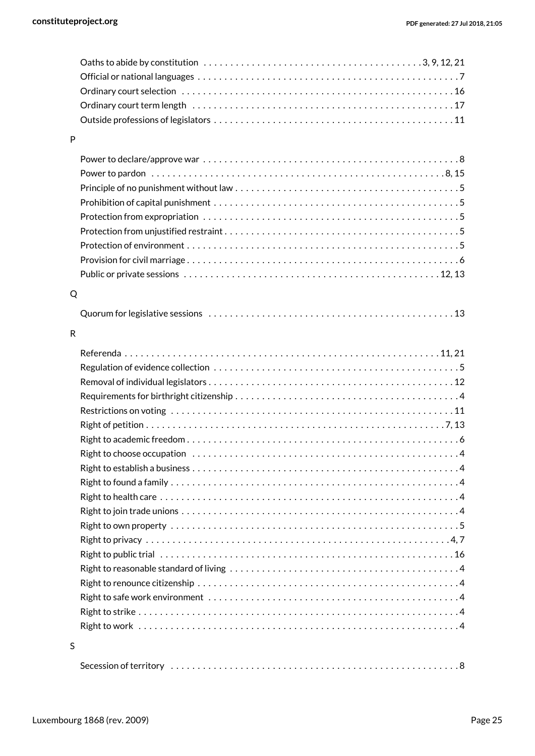|   | Oaths to abide by constitution $\dots\dots\dots\dots\dots\dots\dots\dots\dots\dots\dots\dots\dots3,9,12,21$ |
|---|-------------------------------------------------------------------------------------------------------------|
|   |                                                                                                             |
|   |                                                                                                             |
|   |                                                                                                             |
|   |                                                                                                             |
| P |                                                                                                             |
|   |                                                                                                             |
|   |                                                                                                             |
|   |                                                                                                             |
|   |                                                                                                             |
|   |                                                                                                             |
|   |                                                                                                             |
|   |                                                                                                             |
|   |                                                                                                             |
|   |                                                                                                             |
|   |                                                                                                             |
| Q |                                                                                                             |
|   |                                                                                                             |
|   |                                                                                                             |
| R |                                                                                                             |
|   |                                                                                                             |
|   |                                                                                                             |
|   |                                                                                                             |
|   |                                                                                                             |
|   |                                                                                                             |
|   |                                                                                                             |
|   |                                                                                                             |
|   |                                                                                                             |
|   |                                                                                                             |
|   |                                                                                                             |
|   |                                                                                                             |
|   |                                                                                                             |
|   |                                                                                                             |
|   |                                                                                                             |
|   |                                                                                                             |
|   |                                                                                                             |
|   |                                                                                                             |
|   |                                                                                                             |
|   |                                                                                                             |
|   |                                                                                                             |
|   |                                                                                                             |
| S |                                                                                                             |
|   |                                                                                                             |